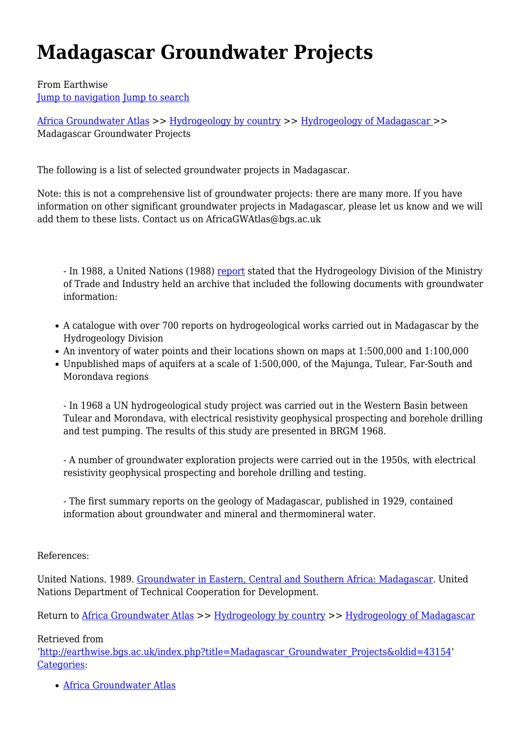# **Madagascar Groundwater Projects**

From Earthwise [Jump to navigation](#page--1-0) [Jump to search](#page--1-0)

[Africa Groundwater Atlas](http://earthwise.bgs.ac.uk/index.php/Africa_Groundwater_Atlas_Home) >> [Hydrogeology by country](http://earthwise.bgs.ac.uk/index.php/Hydrogeology_by_country) >> [Hydrogeology of Madagascar](http://earthwise.bgs.ac.uk/index.php/Hydrogeology_of_Madagascar) >> Madagascar Groundwater Projects

The following is a list of selected groundwater projects in Madagascar.

Note: this is not a comprehensive list of groundwater projects: there are many more. If you have information on other significant groundwater projects in Madagascar, please let us know and we will add them to these lists. Contact us on AfricaGWAtlas@bgs.ac.uk

- In 1988, a United Nations (1988) [report](http://www.bgs.ac.uk/africaGroundwaterAtlas/atlas.cfc?method=ViewDetails&id=AGLA060013) stated that the Hydrogeology Division of the Ministry of Trade and Industry held an archive that included the following documents with groundwater information:

- A catalogue with over 700 reports on hydrogeological works carried out in Madagascar by the Hydrogeology Division
- An inventory of water points and their locations shown on maps at 1:500,000 and 1:100,000
- Unpublished maps of aquifers at a scale of 1:500,000, of the Majunga, Tulear, Far-South and Morondava regions

- In 1968 a UN hydrogeological study project was carried out in the Western Basin between Tulear and Morondava, with electrical resistivity geophysical prospecting and borehole drilling and test pumping. The results of this study are presented in BRGM 1968.

- A number of groundwater exploration projects were carried out in the 1950s, with electrical resistivity geophysical prospecting and borehole drilling and testing.

- The first summary reports on the geology of Madagascar, published in 1929, contained information about groundwater and mineral and thermomineral water.

References:

United Nations. 1989. [Groundwater in Eastern, Central and Southern Africa: Madagascar.](http://www.bgs.ac.uk/africaGroundwaterAtlas/atlas.cfc?method=ViewDetails&id=AGLA060013) United Nations Department of Technical Cooperation for Development.

Return to [Africa Groundwater Atlas](http://earthwise.bgs.ac.uk/index.php/Africa_Groundwater_Atlas_Home) >> [Hydrogeology by country](http://earthwise.bgs.ac.uk/index.php/Hydrogeology_by_country) >> [Hydrogeology of Madagascar](http://earthwise.bgs.ac.uk/index.php/Hydrogeology_of_Madagascar)

Retrieved from

'[http://earthwise.bgs.ac.uk/index.php?title=Madagascar\\_Groundwater\\_Projects&oldid=43154'](http://earthwise.bgs.ac.uk/index.php?title=Madagascar_Groundwater_Projects&oldid=43154) [Categories:](http://earthwise.bgs.ac.uk/index.php/Special:Categories)

[Africa Groundwater Atlas](http://earthwise.bgs.ac.uk/index.php/Category:Africa_Groundwater_Atlas)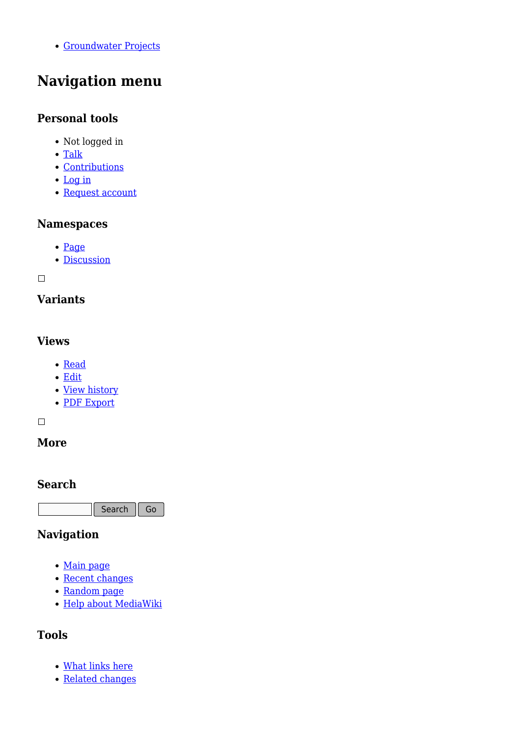[Groundwater Projects](http://earthwise.bgs.ac.uk/index.php/Category:Groundwater_Projects)

# **Navigation menu**

#### **Personal tools**

- Not logged in
- [Talk](http://earthwise.bgs.ac.uk/index.php/Special:MyTalk)
- [Contributions](http://earthwise.bgs.ac.uk/index.php/Special:MyContributions)
- [Log in](http://earthwise.bgs.ac.uk/index.php?title=Special:UserLogin&returnto=Madagascar+Groundwater+Projects&returntoquery=action%3Dmpdf)
- [Request account](http://earthwise.bgs.ac.uk/index.php/Special:RequestAccount)

#### **Namespaces**

- [Page](http://earthwise.bgs.ac.uk/index.php/Madagascar_Groundwater_Projects)
- [Discussion](http://earthwise.bgs.ac.uk/index.php?title=Talk:Madagascar_Groundwater_Projects&action=edit&redlink=1)

 $\overline{\phantom{a}}$ 

# **Variants**

#### **Views**

- [Read](http://earthwise.bgs.ac.uk/index.php/Madagascar_Groundwater_Projects)
- [Edit](http://earthwise.bgs.ac.uk/index.php?title=Madagascar_Groundwater_Projects&action=edit)
- [View history](http://earthwise.bgs.ac.uk/index.php?title=Madagascar_Groundwater_Projects&action=history)
- [PDF Export](http://earthwise.bgs.ac.uk/index.php?title=Madagascar_Groundwater_Projects&action=mpdf)

 $\Box$ 

# **More**

#### **Search**

Search  $\|$  Go

# **Navigation**

- [Main page](http://earthwise.bgs.ac.uk/index.php/Main_Page)
- [Recent changes](http://earthwise.bgs.ac.uk/index.php/Special:RecentChanges)
- [Random page](http://earthwise.bgs.ac.uk/index.php/Special:Random)
- [Help about MediaWiki](https://www.mediawiki.org/wiki/Special:MyLanguage/Help:Contents)

# **Tools**

- [What links here](http://earthwise.bgs.ac.uk/index.php/Special:WhatLinksHere/Madagascar_Groundwater_Projects)
- [Related changes](http://earthwise.bgs.ac.uk/index.php/Special:RecentChangesLinked/Madagascar_Groundwater_Projects)